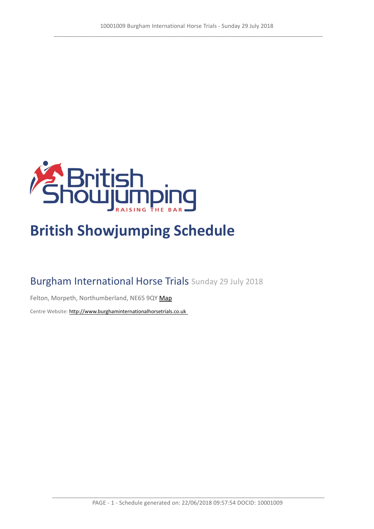

# **British Showjumping Schedule**

# Burgham International Horse Trials Sunday 29 July 2018

Felton, Morpeth, Northumberland, NE65 9QY [Map](https://www.google.com/maps/@55.266970815137,-1.73006186261773,16z)

Centre Website: [http://www.burghaminternationalhorsetrials.co.uk](http://www.burghaminternationalhorsetrials.co.uk/)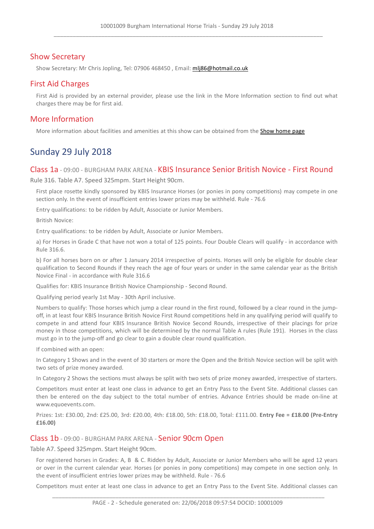# Show Secretary

Show Secretary: Mr Chris Jopling, Tel: 07906 468450 , Email: [mlj86@hotmail.co.uk](mlj86@hotmail.co.uk  )

## First Aid Charges

First Aid is provided by an external provider, please use the link in the More Information section to find out what charges there may be for first aid.

### More Information

More information about facilities and amenities at this show can be obtained from the [Show](http://www.burghaminternationalhorsetrials.co.uk/) [home](http://www.burghaminternationalhorsetrials.co.uk/) [page](http://www.burghaminternationalhorsetrials.co.uk/)

# Sunday 29 July 2018

#### Class 1a - 09:00 - BURGHAM PARK ARENA - KBIS Insurance Senior British Novice - First Round

Rule 316. Table A7. Speed 325mpm. Start Height 90cm.

First place rosette kindly sponsored by KBIS Insurance Horses (or ponies in pony competitions) may compete in one section only. In the event of insufficient entries lower prizes may be withheld. Rule - 76.6

Entry qualifications: to be ridden by Adult, Associate or Junior Members.

British Novice:

Entry qualifications: to be ridden by Adult, Associate or Junior Members.

a) For Horses in Grade C that have not won a total of 125 points. Four Double Clears will qualify - in accordance with Rule 316.6.

b) For all horses born on or after 1 January 2014 irrespective of points. Horses will only be eligible for double clear qualification to Second Rounds if they reach the age of four years or under in the same calendar year as the British Novice Final - in accordance with Rule 316.6

Qualifies for: KBIS Insurance British Novice Championship - Second Round.

Qualifying period yearly 1st May - 30th April inclusive.

Numbers to qualify: Those horses which jump a clear round in the first round, followed by a clear round in the jumpoff, in at least four KBIS Insurance British Novice First Round competitions held in any qualifying period will qualify to compete in and attend four KBIS Insurance British Novice Second Rounds, irrespective of their placings for prize money in those competitions, which will be determined by the normal Table A rules (Rule 191). Horses in the class must go in to the jump-off and go clear to gain a double clear round qualification.

If combined with an open:

In Category 1 Shows and in the event of 30 starters or more the Open and the British Novice section will be split with two sets of prize money awarded.

In Category 2 Shows the sections must always be split with two sets of prize money awarded, irrespective of starters.

Competitors must enter at least one class in advance to get an Entry Pass to the Event Site. Additional classes can then be entered on the day subject to the total number of entries. Advance Entries should be made on-line at www.equoevents.com.

Prizes: 1st: £30.00, 2nd: £25.00, 3rd: £20.00, 4th: £18.00, 5th: £18.00, Total: £111.00. **Entry Fee = £18.00 (Pre-Entry £16.00)**

#### Class 1b - 09:00 - BURGHAM PARK ARENA - Senior 90cm Open

Table A7. Speed 325mpm. Start Height 90cm.

For registered horses in Grades: A, B & C. Ridden by Adult, Associate or Junior Members who will be aged 12 years or over in the current calendar year. Horses (or ponies in pony competitions) may compete in one section only. In the event of insufficient entries lower prizes may be withheld. Rule - 76.6

Competitors must enter at least one class in advance to get an Entry Pass to the Event Site. Additional classes can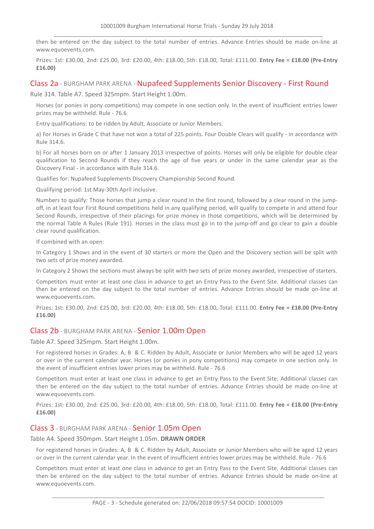then be entered on the day subject to the total number of entries. Advance Entries should be made on-line at www.equoevents.com.

Prizes: 1st: £30.00, 2nd: £25.00, 3rd: £20.00, 4th: £18.00, 5th: £18.00, Total: £111.00. **Entry Fee = £18.00 (Pre-Entry £16.00)**

#### Class 2a - BURGHAM PARK ARENA - Nupafeed Supplements Senior Discovery - First Round

Rule 314. Table A7. Speed 325mpm. Start Height 1.00m.

Horses (or ponies in pony competitions) may compete in one section only. In the event of insufficient entries lower prizes may be withheld. Rule - 76.6

Entry qualifications: to be ridden by Adult, Associate or Junior Members.

a) For Horses in Grade C that have not won a total of 225 points. Four Double Clears will qualify - in accordance with Rule 314.6.

b) For all horses born on or after 1 January 2013 irrespective of points. Horses will only be eligible for double clear qualification to Second Rounds if they reach the age of five years or under in the same calendar year as the Discovery Final - in accordance with Rule 314.6.

Qualifies for: Nupafeed Supplements Discovery Championship Second Round.

Qualifying period: 1st May-30th April inclusive.

Numbers to qualify: Those horses that jump a clear round in the first round, followed by a clear round in the jumpoff, in at least four First Round competitions held in any qualifying period, will qualify to compete in and attend four Second Rounds, irrespective of their placings for prize money in those competitions, which will be determined by the normal Table A Rules (Rule 191). Horses in the class must go in to the jump-off and go clear to gain a double clear round qualification.

If combined with an open:

In Category 1 Shows and in the event of 30 starters or more the Open and the Discovery section will be split with two sets of prize money awarded.

In Category 2 Shows the sections must always be split with two sets of prize money awarded, irrespective of starters.

Competitors must enter at least one class in advance to get an Entry Pass to the Event Site. Additional classes can then be entered on the day subject to the total number of entries. Advance Entries should be made on-line at www.equoevents.com.

Prizes: 1st: £30.00, 2nd: £25.00, 3rd: £20.00, 4th: £18.00, 5th: £18.00, Total: £111.00. **Entry Fee = £18.00 (Pre-Entry £16.00)**

#### Class 2b - BURGHAM PARK ARENA - Senior 1.00m Open

Table A7. Speed 325mpm. Start Height 1.00m.

For registered horses in Grades: A, B & C. Ridden by Adult, Associate or Junior Members who will be aged 12 years or over in the current calendar year. Horses (or ponies in pony competitions) may compete in one section only. In the event of insufficient entries lower prizes may be withheld. Rule - 76.6

Competitors must enter at least one class in advance to get an Entry Pass to the Event Site. Additional classes can then be entered on the day subject to the total number of entries. Advance Entries should be made on-line at www.equoevents.com.

Prizes: 1st: £30.00, 2nd: £25.00, 3rd: £20.00, 4th: £18.00, 5th: £18.00, Total: £111.00. **Entry Fee = £18.00 (Pre-Entry £16.00)**

#### Class 3 - BURGHAM PARK ARENA - Senior 1.05m Open

Table A4. Speed 350mpm. Start Height 1.05m. **DRAWN ORDER**

For registered horses in Grades: A, B & C. Ridden by Adult, Associate or Junior Members who will be aged 12 years or over in the current calendar year. In the event of insufficient entries lower prizes may be withheld. Rule - 76.6

Competitors must enter at least one class in advance to get an Entry Pass to the Event Site. Additional classes can then be entered on the day subject to the total number of entries. Advance Entries should be made on-line at www.equoevents.com.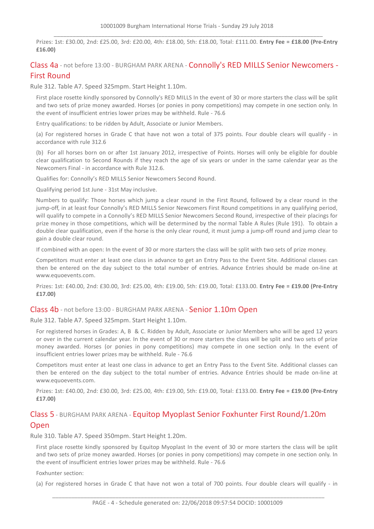Prizes: 1st: £30.00, 2nd: £25.00, 3rd: £20.00, 4th: £18.00, 5th: £18.00, Total: £111.00. **Entry Fee = £18.00 (Pre-Entry £16.00)**

## Class 4a - not before 13:00 - BURGHAM PARK ARENA - Connolly's RED MILLS Senior Newcomers - First Round

Rule 312. Table A7. Speed 325mpm. Start Height 1.10m.

First place rosette kindly sponsored by Connolly's RED MILLS In the event of 30 or more starters the class will be split and two sets of prize money awarded. Horses (or ponies in pony competitions) may compete in one section only. In the event of insufficient entries lower prizes may be withheld. Rule - 76.6

Entry qualifications: to be ridden by Adult, Associate or Junior Members.

(a) For registered horses in Grade C that have not won a total of 375 points. Four double clears will qualify - in accordance with rule 312.6

(b) For all horses born on or after 1st January 2012, irrespective of Points. Horses will only be eligible for double clear qualification to Second Rounds if they reach the age of six years or under in the same calendar year as the Newcomers Final - in accordance with Rule 312.6.

Qualifies for: Connolly's RED MILLS Senior Newcomers Second Round.

Qualifying period 1st June - 31st May inclusive.

Numbers to qualify: Those horses which jump a clear round in the First Round, followed by a clear round in the jump-off, in at least four Connolly's RED MILLS Senior Newcomers First Round competitions in any qualifying period, will qualify to compete in a Connolly's RED MILLS Senior Newcomers Second Round, irrespective of their placings for prize money in those competitions, which will be determined by the normal Table A Rules (Rule 191). To obtain a double clear qualification, even if the horse is the only clear round, it must jump a jump-off round and jump clear to gain a double clear round.

If combined with an open: In the event of 30 or more starters the class will be split with two sets of prize money.

Competitors must enter at least one class in advance to get an Entry Pass to the Event Site. Additional classes can then be entered on the day subject to the total number of entries. Advance Entries should be made on-line at www.equoevents.com.

Prizes: 1st: £40.00, 2nd: £30.00, 3rd: £25.00, 4th: £19.00, 5th: £19.00, Total: £133.00. **Entry Fee = £19.00 (Pre-Entry £17.00)**

#### Class 4b - not before 13:00 - BURGHAM PARK ARENA - Senior 1.10m Open

Rule 312. Table A7. Speed 325mpm. Start Height 1.10m.

For registered horses in Grades: A, B & C. Ridden by Adult, Associate or Junior Members who will be aged 12 years or over in the current calendar year. In the event of 30 or more starters the class will be split and two sets of prize money awarded. Horses (or ponies in pony competitions) may compete in one section only. In the event of insufficient entries lower prizes may be withheld. Rule - 76.6

Competitors must enter at least one class in advance to get an Entry Pass to the Event Site. Additional classes can then be entered on the day subject to the total number of entries. Advance Entries should be made on-line at www.equoevents.com.

Prizes: 1st: £40.00, 2nd: £30.00, 3rd: £25.00, 4th: £19.00, 5th: £19.00, Total: £133.00. **Entry Fee = £19.00 (Pre-Entry £17.00)**

# Class 5 - BURGHAM PARK ARENA - Equitop Myoplast Senior Foxhunter First Round/1.20m **Open**

Rule 310. Table A7. Speed 350mpm. Start Height 1.20m.

First place rosette kindly sponsored by Equitop Myoplast In the event of 30 or more starters the class will be split and two sets of prize money awarded. Horses (or ponies in pony competitions) may compete in one section only. In the event of insufficient entries lower prizes may be withheld. Rule - 76.6

Foxhunter section:

(a) For registered horses in Grade C that have not won a total of 700 points. Four double clears will qualify - in